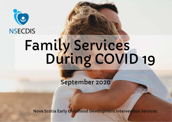

## Family Services During COVID 19

September 2020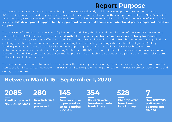#### **Report Purpose**

The current COVID 19 pandemic recently changed how Nova Scotia Early Childhood Development Intervention Services (NSECDIS) was able to provide support and services to families of young children with developmental delays in Nova Scotia. On March 16, 2020, NSECDIS moved to the provision of remote service delivery to families, maintaining the delivery of its four core services: **child development support; family support and capacity building; case coordination & partnerships; and transition support.**

The provision of remote services was a swift pivot in service delivery that involved the relocation of the NSECDIS workforce to home offices. NSECDIS services were maintained **without** a stop work directive or **a gap in service delivery for families.** It should also be noted, NSECDIS staff delivered services remotely to families while working from home and managing additional challenges, such as the care of small children, facilitating home schooling, meeting extended family obligations (elderly relatives), navigating remote technology issues and supporting themselves and their families through stay at home restrictions and a pandemic situation. Beginning September 14th, NSECDIS will offer families a choice between in-person and remote service delivery. Consultations to community programs such as child care centres, pre-primary and primary classrooms will also be available at this time.

The purpose of this report is to provide an overview of the services provided during remote service delivery and summarize the results of a family survey carried out with NSECDIS families to explore their experiences with NSECDIS services, both prior to and during the pandemic.

#### **Between March 16 - September 1, 2020:**

**2085 280 354 7**

**Families received NSECDIS services**



**New Referrals were processed**



**Families chose to put services on hold during COVID 19** 

**145 528**

**Children were transitioned into Pre-Primary** 

**Children were transitioned into Primary**

**New NSECDIS staff were onboarded and trained**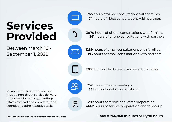## **Services Provided**

Between March 16 - September 1, 2020



**74** hours of video consultations with partners

**3070** hours of phone consultations with families **261** hours of phone consultations with partners

**765** hours of video consultations with families



**1289** hours of email consultations with families **193** hours of email consultations with partners



**1388** hours of text consultations with families



**FILE** 

**757** hours of team meetings **35** hours of workshop facilitation



**287** hours of report and letter preparation **4662** hours of service preparation and follow-up

#### **Total = 766,860 minutes or 12,781 hours**

Please note: these totals do not include non-direct service delivery time spent in training, meetings (staff, caseload or committee), and completing administrative tasks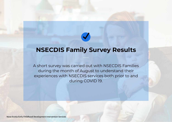### **NSECDIS Family Survey Results**

A short survey was carried out with NSECDIS Families during the month of August to understand their experiences with NSECDIS services both prior to and during COVID 19.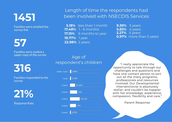## **1451**

Families were emailed the survey link

**57**

Families were mailed a paper copy of the survey

**316**

Families responded to the survey

**21%**

Response Rate

#### Length of time the respondents had been involved with NSECDIS Services

 **5.18%** less than 1 month **17.48%** 1 - 6 months **17.15%** 6 months to year **18.77% l** year **22.98%** 2 years

**2.27%** 5 years **5.83%** 4 years **9.39%** 3 years **0.97%** more than 5 years

#### Age of respondent's children



"I really appreciate the opportunity to talk through our challenges and questions and have one contact person to sort out all the many programs, professionals and resources involved. Our Developmental Interventionist is absolutely stellar, and couldn't be happier with her knowledge, experience, compassion, flexibility and care."

Parent Response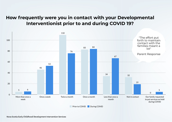#### **How frequently were you in contact with your Developmental Interventionist prior to and during COVID 19?**



Prior to COVID During COVID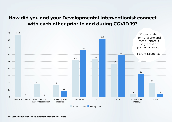#### **How did you and your Developmental Interventionist connect with each other prior to and during COVID 19?**

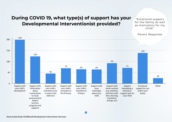

#### **During COVID 19, what type(s) of support has your Developmental Interventionist provided?**

"Emotional support for the family as well as motivation for my child"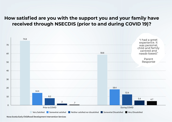#### **How satisfied are you with the support you and your family have received through NSECDIS (prior to and during COVID 19)?**



Nova Scotia Early Childhood Development Intervention Services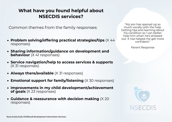#### **What have you found helpful about NSECDIS services?**

Common themes from the family responses:

- **Problem solving/offering practical strategies/tips** (X 44 responses)
- **Sharing information/guidance on development and behaviour** (X 41 responses)
- **Service navigation/help to access services & supports** (X 31 responses)
- **Always there/available** (X 31 responses)
- **Emotional support for family/listening** (X 30 responses)
- **Improvements in my child development/achievement of goals** (X 23 responses)
- **Guidance & reassurance with decision making** (X 20 responses)

"My son has opened up so much vocally with the help. Getting tips and learning about his condition so I can better help him when he's stressed out. It has helped me get more confident."

Parent Response

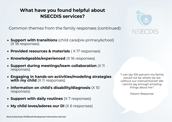#### **What have you found helpful about NSECDIS services?**

Common themes from the family responses (continued):

- **Support with transitions** (child care/pre-primary/school) (X 18 responses)
- **Provided resources & materials** ( X 17 responses)
- **Knowledgeable/experienced** (X 16 responses)
- **Support during meetings/team collaboration** (X 11 responses)
- **Engaging in hands-on-activities/modeling strategies with my child** (X 11 responses)
- **Information on child's disability/diagnosis** (X 10 responses)
- **Support with daily routines** (X 7 responses)
- **My child loves/adores our DI** (X 6 responses)



"I can say 100 percent my family would not be where we are without our interventionist! We cannot say enough amazing things about her."

Parent Response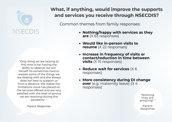# **NSECDIS**

"Only thing we are lacking at this time is her having the ability to observe our son herself. Its sometimes hard to explain some of the things we are dealing with and she always does her best to support us from a distance. We realize the limitations covid has placed on the services offered and are very satisfied with the level of service we are receiving during this pandemic ."

Parent Response

#### **What, if anything, would improve the supports and services you receive through NSECDIS?**

Common themes from family responses:

- **Nothing/happy with services as they are** (X 63 responses)
- **Would like in-person visits to resume** (X 22 responses)
- **Increase in frequency of visits or contact/reduction in time between visits** (X 15 responses)
- **Reduce wait for services** (X 6 responses)
- **More consistency during DI change over** (e.g. maternity leave) (X 4 responses)

"Nothing they are amazing! "

Parent Response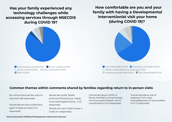**Has your family experienced any technology challenges while accessing services through NSECDIS during COVID 19?**



 **How comfortable are you and your family with having a Developmental Interventionist visit your home (during COVID 19)?** 



**Very Comfortable (65.9%)** Somewhat comfortable (20.5%) Neither comfortable nor uncomfortable (5.2%) Somewhat uncomfortable (6.8%) Very uncomfortable (1.6%)

#### **Common themes within comments shared by families regarding return to in-person visits**

No concerns/would like visits to resume( X 66 responses)

Would like services scaled back again if cases increase (X 8 responses)

Would like public health protocols followed (e.g. masks, hand washing/sanitizing - X 23 responses) Would not want child to wear a mask (X 4 responses)

Concerned about child's or family member's compromised immune system/higher risk of complications (X 10 responses)

Concerned about risk of exposure from other homes/daycares DI has travelled to (X 11 responses)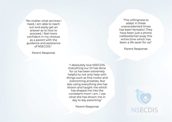"No matter what services I need, I am able to reach out and easily get an answer as to how to proceed. I feel more confident in my choices as a parent with the guidance and assistance of NSECDIS."

Parent Response

"I absolutely love NSECDIS. Everything our DI has done for us has been extremely helpful to not only help with things such as fine motor and overcoming anxieties. But also using everything she has shown and taught me which has shaped me into the consistent mom I am. I use what she has shown me in day to day parenting."

Parent Response

"The willingness to adapt in these unprecedented times has been fantastic! They have been just a phone call/text/email away this entire time which has been a life saver for us!"

Parent Response

**NSECDIS**